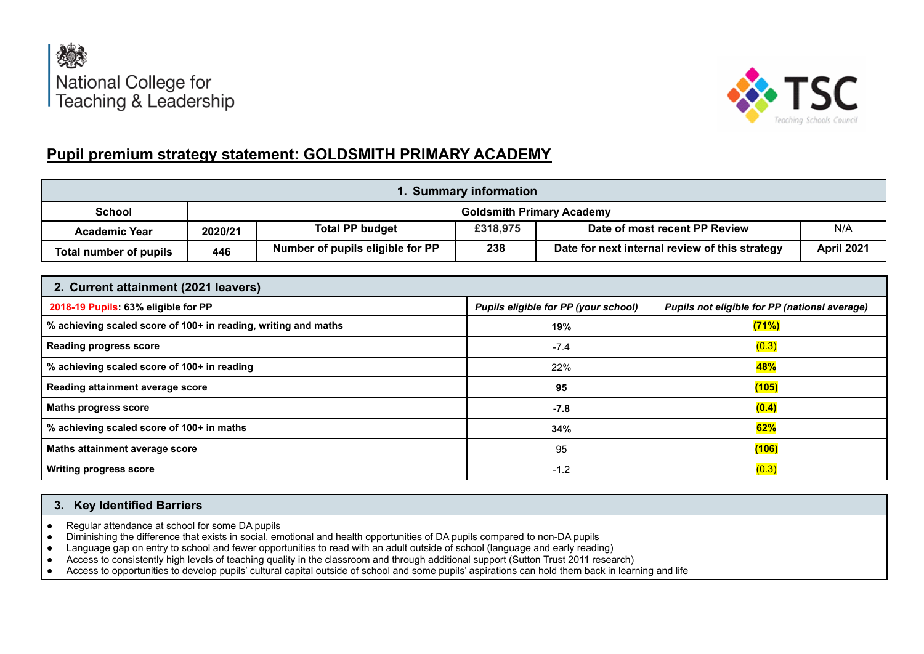



## **Pupil premium strategy statement: GOLDSMITH PRIMARY ACADEMY**

| 1. Summary information |         |                                  |          |                                                |                   |
|------------------------|---------|----------------------------------|----------|------------------------------------------------|-------------------|
| School                 |         |                                  |          | <b>Goldsmith Primary Academy</b>               |                   |
| <b>Academic Year</b>   | 2020/21 | <b>Total PP budget</b>           | £318,975 | Date of most recent PP Review                  | N/A               |
| Total number of pupils | 446     | Number of pupils eligible for PP | 238      | Date for next internal review of this strategy | <b>April 2021</b> |

| 2. Current attainment (2021 leavers)                           |                                      |                                               |  |  |  |  |
|----------------------------------------------------------------|--------------------------------------|-----------------------------------------------|--|--|--|--|
| 2018-19 Pupils: 63% eligible for PP                            | Pupils eligible for PP (your school) | Pupils not eligible for PP (national average) |  |  |  |  |
| % achieving scaled score of 100+ in reading, writing and maths | 19%                                  | (71%)                                         |  |  |  |  |
| <b>Reading progress score</b>                                  | $-7.4$                               | (0.3)                                         |  |  |  |  |
| % achieving scaled score of 100+ in reading                    | 22%                                  | 48%                                           |  |  |  |  |
| Reading attainment average score                               | 95                                   | (105)                                         |  |  |  |  |
| <b>Maths progress score</b>                                    | $-7.8$                               | (0.4)                                         |  |  |  |  |
| % achieving scaled score of 100+ in maths                      | 34%                                  | 62%                                           |  |  |  |  |
| Maths attainment average score                                 | 95                                   | (106)                                         |  |  |  |  |
| <b>Writing progress score</b>                                  | $-1.2$                               | (0.3)                                         |  |  |  |  |

## **3. Key Identified Barriers**

- Regular attendance at school for some DA pupils
- Diminishing the difference that exists in social, emotional and health opportunities of DA pupils compared to non-DA pupils
- Language gap on entry to school and fewer opportunities to read with an adult outside of school (language and early reading)
- Access to consistently high levels of teaching quality in the classroom and through additional support (Sutton Trust 2011 research)
- Access to opportunities to develop pupils' cultural capital outside of school and some pupils' aspirations can hold them back in learning and life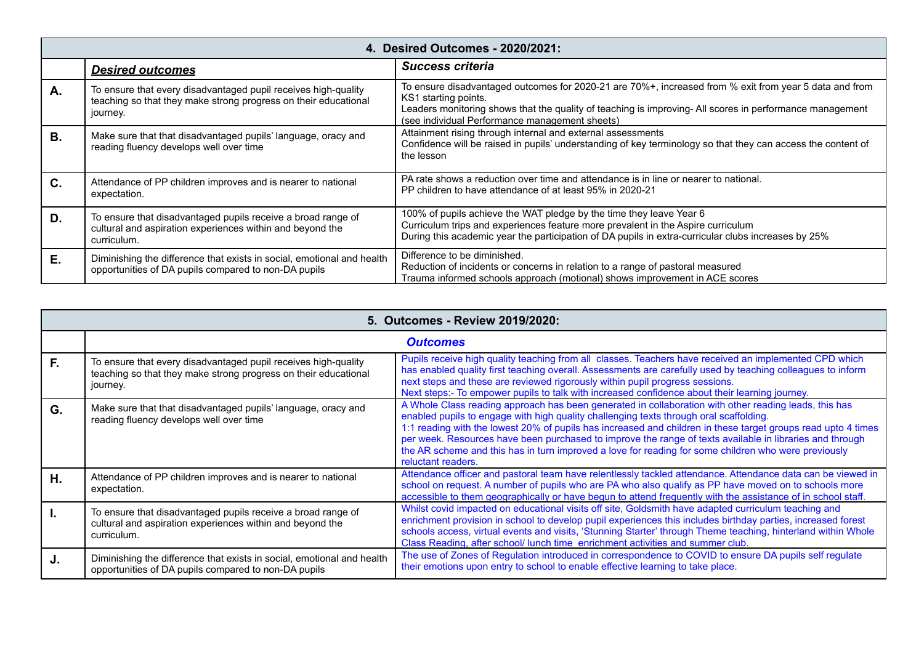|                | 4. Desired Outcomes - 2020/2021:                                                                                                              |                                                                                                                                                                                                                                                                                              |  |  |  |
|----------------|-----------------------------------------------------------------------------------------------------------------------------------------------|----------------------------------------------------------------------------------------------------------------------------------------------------------------------------------------------------------------------------------------------------------------------------------------------|--|--|--|
|                | <b>Desired outcomes</b>                                                                                                                       | Success criteria                                                                                                                                                                                                                                                                             |  |  |  |
| А.             | To ensure that every disadvantaged pupil receives high-quality<br>teaching so that they make strong progress on their educational<br>journey. | To ensure disadvantaged outcomes for 2020-21 are 70%+, increased from % exit from year 5 data and from<br>KS1 starting points.<br>Leaders monitoring shows that the quality of teaching is improving- All scores in performance management<br>(see individual Performance management sheets) |  |  |  |
| <b>B.</b>      | Make sure that that disadvantaged pupils' language, oracy and<br>reading fluency develops well over time                                      | Attainment rising through internal and external assessments<br>Confidence will be raised in pupils' understanding of key terminology so that they can access the content of<br>the lesson                                                                                                    |  |  |  |
| $\mathbf{C}$ . | Attendance of PP children improves and is nearer to national<br>expectation.                                                                  | PA rate shows a reduction over time and attendance is in line or nearer to national.<br>PP children to have attendance of at least 95% in 2020-21                                                                                                                                            |  |  |  |
| D.             | To ensure that disadvantaged pupils receive a broad range of<br>cultural and aspiration experiences within and beyond the<br>curriculum.      | 100% of pupils achieve the WAT pledge by the time they leave Year 6<br>Curriculum trips and experiences feature more prevalent in the Aspire curriculum<br>During this academic year the participation of DA pupils in extra-curricular clubs increases by 25%                               |  |  |  |
| Ε.             | Diminishing the difference that exists in social, emotional and health<br>opportunities of DA pupils compared to non-DA pupils                | Difference to be diminished.<br>Reduction of incidents or concerns in relation to a range of pastoral measured<br>Trauma informed schools approach (motional) shows improvement in ACE scores                                                                                                |  |  |  |

|    | 5. Outcomes - Review 2019/2020:                                                                                                               |                                                                                                                                                                                                                                                                                                                                                                                                                                                                                                                                                            |  |  |
|----|-----------------------------------------------------------------------------------------------------------------------------------------------|------------------------------------------------------------------------------------------------------------------------------------------------------------------------------------------------------------------------------------------------------------------------------------------------------------------------------------------------------------------------------------------------------------------------------------------------------------------------------------------------------------------------------------------------------------|--|--|
|    |                                                                                                                                               | <b>Outcomes</b>                                                                                                                                                                                                                                                                                                                                                                                                                                                                                                                                            |  |  |
| F. | To ensure that every disadvantaged pupil receives high-quality<br>teaching so that they make strong progress on their educational<br>journey. | Pupils receive high quality teaching from all classes. Teachers have received an implemented CPD which<br>has enabled quality first teaching overall. Assessments are carefully used by teaching colleagues to inform<br>next steps and these are reviewed rigorously within pupil progress sessions.<br>Next steps:- To empower pupils to talk with increased confidence about their learning journey.                                                                                                                                                    |  |  |
| G. | Make sure that that disadvantaged pupils' language, oracy and<br>reading fluency develops well over time                                      | A Whole Class reading approach has been generated in collaboration with other reading leads, this has<br>enabled pupils to engage with high quality challenging texts through oral scaffolding.<br>1:1 reading with the lowest 20% of pupils has increased and children in these target groups read upto 4 times<br>per week. Resources have been purchased to improve the range of texts available in libraries and through<br>the AR scheme and this has in turn improved a love for reading for some children who were previously<br>reluctant readers. |  |  |
| Η. | Attendance of PP children improves and is nearer to national<br>expectation.                                                                  | Attendance officer and pastoral team have relentlessly tackled attendance. Attendance data can be viewed in<br>school on request. A number of pupils who are PA who also qualify as PP have moved on to schools more<br>accessible to them geographically or have begun to attend frequently with the assistance of in school staff.                                                                                                                                                                                                                       |  |  |
|    | To ensure that disadvantaged pupils receive a broad range of<br>cultural and aspiration experiences within and beyond the<br>curriculum.      | Whilst covid impacted on educational visits off site, Goldsmith have adapted curriculum teaching and<br>enrichment provision in school to develop pupil experiences this includes birthday parties, increased forest<br>schools access, virtual events and visits, 'Stunning Starter' through Theme teaching, hinterland within Whole<br>Class Reading, after school/ lunch time enrichment activities and summer club.                                                                                                                                    |  |  |
| J. | Diminishing the difference that exists in social, emotional and health<br>opportunities of DA pupils compared to non-DA pupils                | The use of Zones of Regulation introduced in correspondence to COVID to ensure DA pupils self regulate<br>their emotions upon entry to school to enable effective learning to take place.                                                                                                                                                                                                                                                                                                                                                                  |  |  |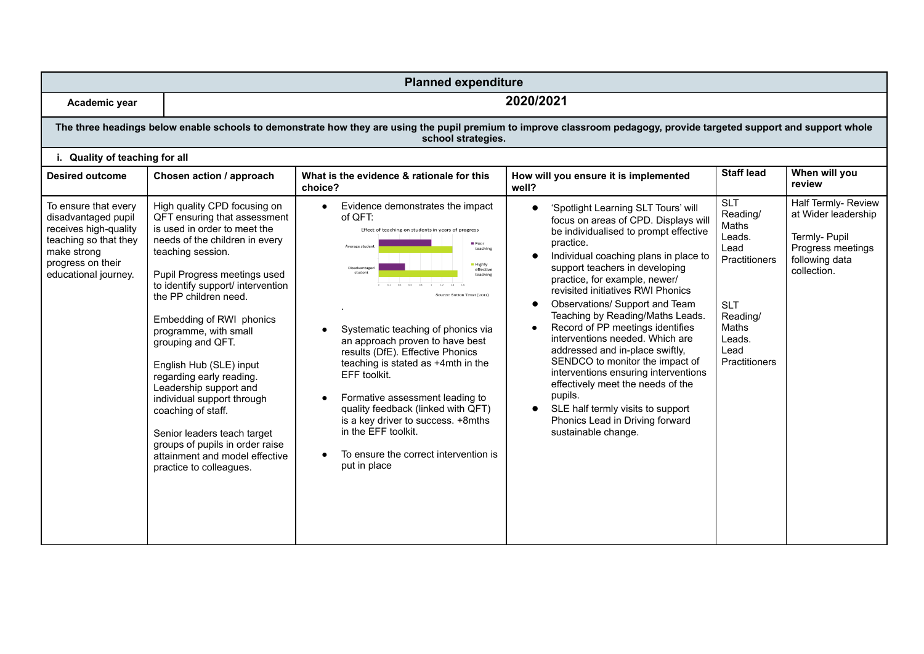| <b>Planned expenditure</b>                                                                                                                                |                                                                                                                                                                                                                                                                                                                                                                                                                                                                                                                                                                                                 |                                                                                                                                                                                                                                                                                                                                                                                                                                                                                                                                                                                                                   |                                                                                                                                                                                                                                                                                                                                                                                                                                                                                                                                                                                                                                                                                                                        |                                                                                                                                                 |                                                                                                                   |  |  |  |
|-----------------------------------------------------------------------------------------------------------------------------------------------------------|-------------------------------------------------------------------------------------------------------------------------------------------------------------------------------------------------------------------------------------------------------------------------------------------------------------------------------------------------------------------------------------------------------------------------------------------------------------------------------------------------------------------------------------------------------------------------------------------------|-------------------------------------------------------------------------------------------------------------------------------------------------------------------------------------------------------------------------------------------------------------------------------------------------------------------------------------------------------------------------------------------------------------------------------------------------------------------------------------------------------------------------------------------------------------------------------------------------------------------|------------------------------------------------------------------------------------------------------------------------------------------------------------------------------------------------------------------------------------------------------------------------------------------------------------------------------------------------------------------------------------------------------------------------------------------------------------------------------------------------------------------------------------------------------------------------------------------------------------------------------------------------------------------------------------------------------------------------|-------------------------------------------------------------------------------------------------------------------------------------------------|-------------------------------------------------------------------------------------------------------------------|--|--|--|
| Academic year                                                                                                                                             | 2020/2021                                                                                                                                                                                                                                                                                                                                                                                                                                                                                                                                                                                       |                                                                                                                                                                                                                                                                                                                                                                                                                                                                                                                                                                                                                   |                                                                                                                                                                                                                                                                                                                                                                                                                                                                                                                                                                                                                                                                                                                        |                                                                                                                                                 |                                                                                                                   |  |  |  |
|                                                                                                                                                           |                                                                                                                                                                                                                                                                                                                                                                                                                                                                                                                                                                                                 | The three headings below enable schools to demonstrate how they are using the pupil premium to improve classroom pedagogy, provide targeted support and support whole<br>school strategies.                                                                                                                                                                                                                                                                                                                                                                                                                       |                                                                                                                                                                                                                                                                                                                                                                                                                                                                                                                                                                                                                                                                                                                        |                                                                                                                                                 |                                                                                                                   |  |  |  |
| i. Quality of teaching for all                                                                                                                            |                                                                                                                                                                                                                                                                                                                                                                                                                                                                                                                                                                                                 |                                                                                                                                                                                                                                                                                                                                                                                                                                                                                                                                                                                                                   |                                                                                                                                                                                                                                                                                                                                                                                                                                                                                                                                                                                                                                                                                                                        |                                                                                                                                                 |                                                                                                                   |  |  |  |
| Desired outcome                                                                                                                                           | Chosen action / approach                                                                                                                                                                                                                                                                                                                                                                                                                                                                                                                                                                        | What is the evidence & rationale for this<br>choice?                                                                                                                                                                                                                                                                                                                                                                                                                                                                                                                                                              | How will you ensure it is implemented<br>well?                                                                                                                                                                                                                                                                                                                                                                                                                                                                                                                                                                                                                                                                         | <b>Staff lead</b>                                                                                                                               | When will you<br>review                                                                                           |  |  |  |
| To ensure that every<br>disadvantaged pupil<br>receives high-quality<br>teaching so that they<br>make strong<br>progress on their<br>educational journey. | High quality CPD focusing on<br>QFT ensuring that assessment<br>is used in order to meet the<br>needs of the children in every<br>teaching session.<br>Pupil Progress meetings used<br>to identify support/ intervention<br>the PP children need.<br>Embedding of RWI phonics<br>programme, with small<br>grouping and QFT.<br>English Hub (SLE) input<br>regarding early reading.<br>Leadership support and<br>individual support through<br>coaching of staff.<br>Senior leaders teach target<br>groups of pupils in order raise<br>attainment and model effective<br>practice to colleagues. | Evidence demonstrates the impact<br>$\bullet$<br>of QFT:<br>Effect of teaching on students in years of progress<br>Poor<br>Average student<br>teaching<br><b>Highly</b><br>Disadvantage<br>effective<br>teaching<br>Source: Sutton Trust (2011)<br>Systematic teaching of phonics via<br>an approach proven to have best<br>results (DfE). Effective Phonics<br>teaching is stated as +4mth in the<br>EFF toolkit.<br>Formative assessment leading to<br>quality feedback (linked with QFT)<br>is a key driver to success. +8mths<br>in the EFF toolkit.<br>To ensure the correct intervention is<br>put in place | 'Spotlight Learning SLT Tours' will<br>$\bullet$<br>focus on areas of CPD. Displays will<br>be individualised to prompt effective<br>practice.<br>Individual coaching plans in place to<br>support teachers in developing<br>practice, for example, newer/<br>revisited initiatives RWI Phonics<br>Observations/ Support and Team<br>$\bullet$<br>Teaching by Reading/Maths Leads.<br>Record of PP meetings identifies<br>interventions needed. Which are<br>addressed and in-place swiftly,<br>SENDCO to monitor the impact of<br>interventions ensuring interventions<br>effectively meet the needs of the<br>pupils.<br>SLE half termly visits to support<br>Phonics Lead in Driving forward<br>sustainable change. | <b>SLT</b><br>Reading/<br>Maths<br>Leads.<br>Lead<br>Practitioners<br><b>SLT</b><br>Reading/<br>Maths<br>Leads.<br>Lead<br><b>Practitioners</b> | Half Termly- Review<br>at Wider leadership<br>Termly- Pupil<br>Progress meetings<br>following data<br>collection. |  |  |  |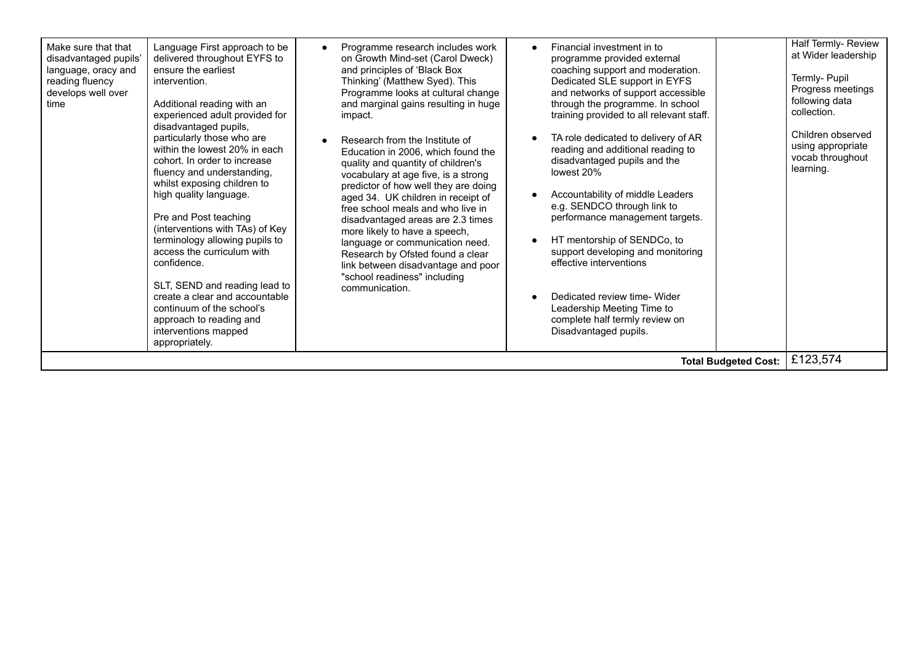| Thinking' (Matthew Syed). This<br>Dedicated SLE support in EYFS<br>reading fluency<br>intervention.<br>and networks of support accessible<br>develops well over<br>Programme looks at cultural change<br>through the programme. In school<br>Additional reading with an<br>and marginal gains resulting in huge<br>time<br>experienced adult provided for<br>training provided to all relevant staff.<br>impact.<br>disadvantaged pupils,<br>particularly those who are<br>TA role dedicated to delivery of AR<br>Research from the Institute of<br>within the lowest 20% in each<br>reading and additional reading to<br>Education in 2006, which found the<br>disadvantaged pupils and the<br>cohort. In order to increase<br>quality and quantity of children's<br>fluency and understanding,<br>lowest 20%<br>vocabulary at age five, is a strong<br>whilst exposing children to<br>predictor of how well they are doing<br>Accountability of middle Leaders<br>high quality language.<br>aged 34. UK children in receipt of<br>e.g. SENDCO through link to<br>free school meals and who live in<br>Pre and Post teaching<br>performance management targets.<br>disadvantaged areas are 2.3 times<br>(interventions with TAs) of Key<br>more likely to have a speech,<br>terminology allowing pupils to<br>HT mentorship of SENDCo, to<br>$\bullet$<br>language or communication need.<br>access the curriculum with<br>support developing and monitoring<br>Research by Ofsted found a clear<br>effective interventions<br>confidence.<br>link between disadvantage and poor<br>"school readiness" including<br>SLT, SEND and reading lead to<br>communication.<br>create a clear and accountable<br>Dedicated review time- Wider<br>$\bullet$<br>continuum of the school's<br>Leadership Meeting Time to<br>complete half termly review on<br>approach to reading and<br>interventions mapped<br>Disadvantaged pupils.<br>appropriately.<br><b>Total Budgeted Cost:</b> | Progress meetings<br>following data<br>collection.<br>Children observed<br>using appropriate<br>vocab throughout<br>learning.<br>£123,574 |
|-------------------------------------------------------------------------------------------------------------------------------------------------------------------------------------------------------------------------------------------------------------------------------------------------------------------------------------------------------------------------------------------------------------------------------------------------------------------------------------------------------------------------------------------------------------------------------------------------------------------------------------------------------------------------------------------------------------------------------------------------------------------------------------------------------------------------------------------------------------------------------------------------------------------------------------------------------------------------------------------------------------------------------------------------------------------------------------------------------------------------------------------------------------------------------------------------------------------------------------------------------------------------------------------------------------------------------------------------------------------------------------------------------------------------------------------------------------------------------------------------------------------------------------------------------------------------------------------------------------------------------------------------------------------------------------------------------------------------------------------------------------------------------------------------------------------------------------------------------------------------------------------------------------------------------------------------------------------------------|-------------------------------------------------------------------------------------------------------------------------------------------|
|-------------------------------------------------------------------------------------------------------------------------------------------------------------------------------------------------------------------------------------------------------------------------------------------------------------------------------------------------------------------------------------------------------------------------------------------------------------------------------------------------------------------------------------------------------------------------------------------------------------------------------------------------------------------------------------------------------------------------------------------------------------------------------------------------------------------------------------------------------------------------------------------------------------------------------------------------------------------------------------------------------------------------------------------------------------------------------------------------------------------------------------------------------------------------------------------------------------------------------------------------------------------------------------------------------------------------------------------------------------------------------------------------------------------------------------------------------------------------------------------------------------------------------------------------------------------------------------------------------------------------------------------------------------------------------------------------------------------------------------------------------------------------------------------------------------------------------------------------------------------------------------------------------------------------------------------------------------------------------|-------------------------------------------------------------------------------------------------------------------------------------------|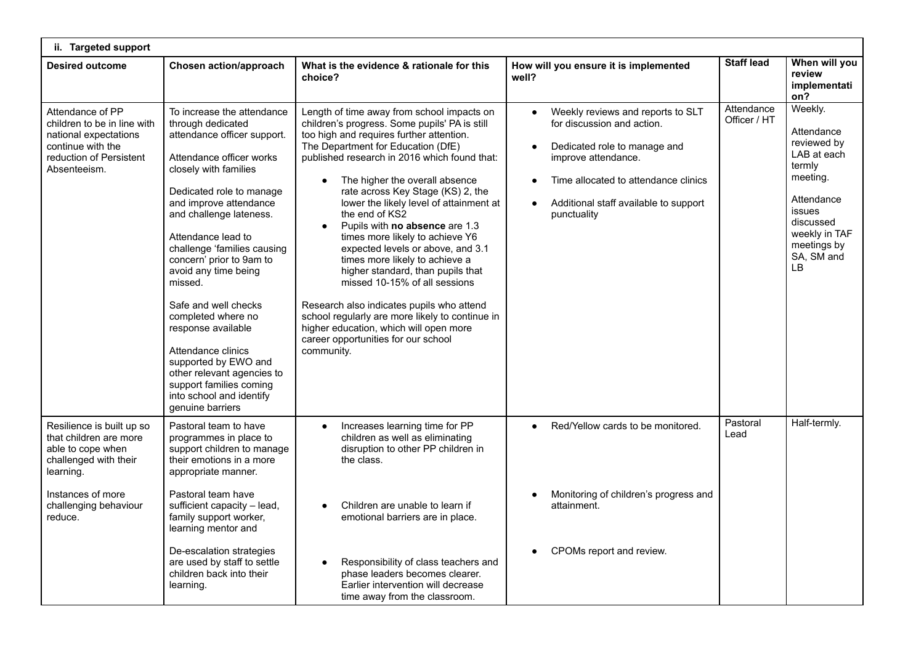| ii. Targeted support                                                                                                                     |                                                                                                                                                                                                                                                                                                                                                                                                                                                                                                                                                                     |                                                                                                                                                                                                                                                                                                                                                                                                                                                                                                                                                                                                                                                                                                                                                                                                 |                                                                                                                                                                                                                                                  |                            |                                                                                                                                                                           |
|------------------------------------------------------------------------------------------------------------------------------------------|---------------------------------------------------------------------------------------------------------------------------------------------------------------------------------------------------------------------------------------------------------------------------------------------------------------------------------------------------------------------------------------------------------------------------------------------------------------------------------------------------------------------------------------------------------------------|-------------------------------------------------------------------------------------------------------------------------------------------------------------------------------------------------------------------------------------------------------------------------------------------------------------------------------------------------------------------------------------------------------------------------------------------------------------------------------------------------------------------------------------------------------------------------------------------------------------------------------------------------------------------------------------------------------------------------------------------------------------------------------------------------|--------------------------------------------------------------------------------------------------------------------------------------------------------------------------------------------------------------------------------------------------|----------------------------|---------------------------------------------------------------------------------------------------------------------------------------------------------------------------|
| <b>Desired outcome</b>                                                                                                                   | Chosen action/approach                                                                                                                                                                                                                                                                                                                                                                                                                                                                                                                                              | What is the evidence & rationale for this<br>choice?                                                                                                                                                                                                                                                                                                                                                                                                                                                                                                                                                                                                                                                                                                                                            | How will you ensure it is implemented<br>well?                                                                                                                                                                                                   | <b>Staff lead</b>          | When will you<br>review<br>implementati<br>on?                                                                                                                            |
| Attendance of PP<br>children to be in line with<br>national expectations<br>continue with the<br>reduction of Persistent<br>Absenteeism. | To increase the attendance<br>through dedicated<br>attendance officer support.<br>Attendance officer works<br>closely with families<br>Dedicated role to manage<br>and improve attendance<br>and challenge lateness.<br>Attendance lead to<br>challenge 'families causing<br>concern' prior to 9am to<br>avoid any time being<br>missed.<br>Safe and well checks<br>completed where no<br>response available<br>Attendance clinics<br>supported by EWO and<br>other relevant agencies to<br>support families coming<br>into school and identify<br>genuine barriers | Length of time away from school impacts on<br>children's progress. Some pupils' PA is still<br>too high and requires further attention.<br>The Department for Education (DfE)<br>published research in 2016 which found that:<br>The higher the overall absence<br>$\bullet$<br>rate across Key Stage (KS) 2, the<br>lower the likely level of attainment at<br>the end of KS2<br>Pupils with no absence are 1.3<br>times more likely to achieve Y6<br>expected levels or above, and 3.1<br>times more likely to achieve a<br>higher standard, than pupils that<br>missed 10-15% of all sessions<br>Research also indicates pupils who attend<br>school regularly are more likely to continue in<br>higher education, which will open more<br>career opportunities for our school<br>community. | Weekly reviews and reports to SLT<br>$\bullet$<br>for discussion and action.<br>Dedicated role to manage and<br>improve attendance.<br>Time allocated to attendance clinics<br>Additional staff available to support<br>$\bullet$<br>punctuality | Attendance<br>Officer / HT | Weekly.<br>Attendance<br>reviewed by<br>LAB at each<br>termly<br>meeting.<br>Attendance<br>issues<br>discussed<br>weekly in TAF<br>meetings by<br>SA, SM and<br><b>LB</b> |
| Resilience is built up so<br>that children are more<br>able to cope when<br>challenged with their<br>learning.                           | Pastoral team to have<br>programmes in place to<br>support children to manage<br>their emotions in a more<br>appropriate manner.                                                                                                                                                                                                                                                                                                                                                                                                                                    | Increases learning time for PP<br>children as well as eliminating<br>disruption to other PP children in<br>the class.                                                                                                                                                                                                                                                                                                                                                                                                                                                                                                                                                                                                                                                                           | Red/Yellow cards to be monitored.                                                                                                                                                                                                                | Pastoral<br>Lead           | Half-termly.                                                                                                                                                              |
| Instances of more<br>challenging behaviour<br>reduce.                                                                                    | Pastoral team have<br>sufficient capacity - lead,<br>family support worker,<br>learning mentor and                                                                                                                                                                                                                                                                                                                                                                                                                                                                  | Children are unable to learn if<br>emotional barriers are in place.                                                                                                                                                                                                                                                                                                                                                                                                                                                                                                                                                                                                                                                                                                                             | Monitoring of children's progress and<br>attainment.                                                                                                                                                                                             |                            |                                                                                                                                                                           |
|                                                                                                                                          | De-escalation strategies<br>are used by staff to settle<br>children back into their<br>learning.                                                                                                                                                                                                                                                                                                                                                                                                                                                                    | Responsibility of class teachers and<br>phase leaders becomes clearer.<br>Earlier intervention will decrease<br>time away from the classroom.                                                                                                                                                                                                                                                                                                                                                                                                                                                                                                                                                                                                                                                   | CPOMs report and review.                                                                                                                                                                                                                         |                            |                                                                                                                                                                           |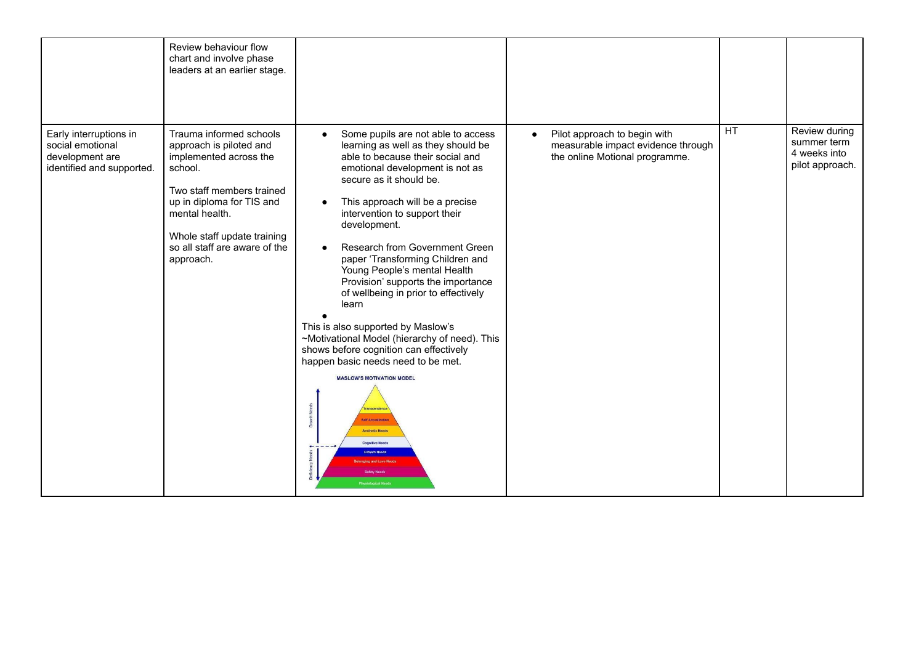|                                                                                            | Review behaviour flow<br>chart and involve phase<br>leaders at an earlier stage.                                                                                                                                                                 |                                                                                                                                                                                                                                                                                                                                                                                                                                                                                                                                                                                                                                                                                                                                                                                                                                |                                                                                                                   |    |                                                                 |
|--------------------------------------------------------------------------------------------|--------------------------------------------------------------------------------------------------------------------------------------------------------------------------------------------------------------------------------------------------|--------------------------------------------------------------------------------------------------------------------------------------------------------------------------------------------------------------------------------------------------------------------------------------------------------------------------------------------------------------------------------------------------------------------------------------------------------------------------------------------------------------------------------------------------------------------------------------------------------------------------------------------------------------------------------------------------------------------------------------------------------------------------------------------------------------------------------|-------------------------------------------------------------------------------------------------------------------|----|-----------------------------------------------------------------|
| Early interruptions in<br>social emotional<br>development are<br>identified and supported. | Trauma informed schools<br>approach is piloted and<br>implemented across the<br>school.<br>Two staff members trained<br>up in diploma for TIS and<br>mental health.<br>Whole staff update training<br>so all staff are aware of the<br>approach. | Some pupils are not able to access<br>$\bullet$<br>learning as well as they should be<br>able to because their social and<br>emotional development is not as<br>secure as it should be.<br>This approach will be a precise<br>intervention to support their<br>development.<br>Research from Government Green<br>paper 'Transforming Children and<br>Young People's mental Health<br>Provision' supports the importance<br>of wellbeing in prior to effectively<br>learn<br>This is also supported by Maslow's<br>~Motivational Model (hierarchy of need). This<br>shows before cognition can effectively<br>happen basic needs need to be met.<br><b>MASLOW'S MOTIVATION MODEL</b><br>ranscendence<br><b>Self Actualization</b><br><b>Aesthetic Needs</b><br><b>Cognitive Needs</b><br><b>Esteem Needs</b><br>ng and Love Nee | Pilot approach to begin with<br>$\bullet$<br>measurable impact evidence through<br>the online Motional programme. | HT | Review during<br>summer term<br>4 weeks into<br>pilot approach. |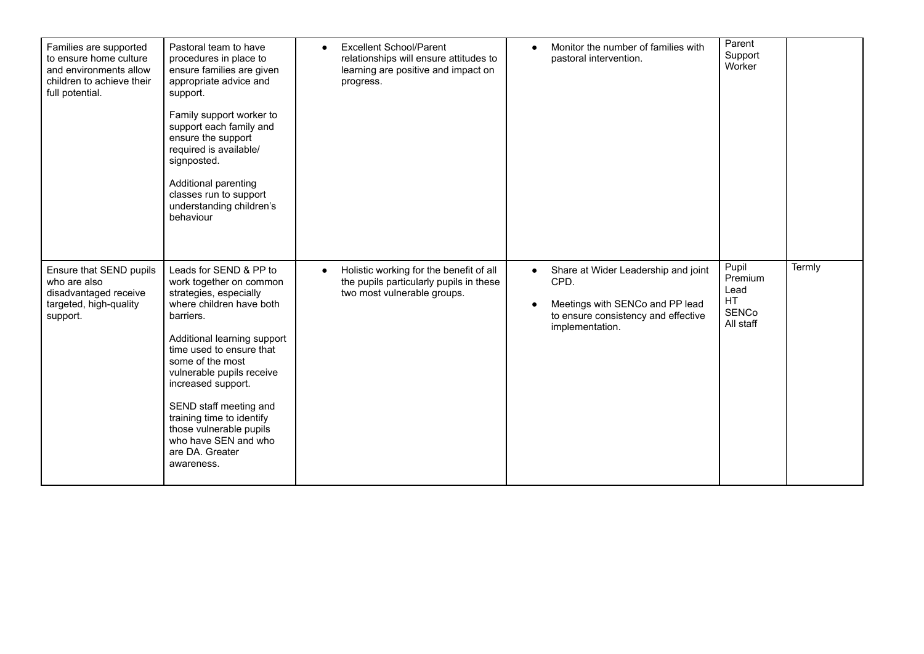| Families are supported<br>to ensure home culture<br>and environments allow<br>children to achieve their<br>full potential. | Pastoral team to have<br>procedures in place to<br>ensure families are given<br>appropriate advice and<br>support.<br>Family support worker to<br>support each family and<br>ensure the support<br>required is available/<br>signposted.<br>Additional parenting<br>classes run to support<br>understanding children's<br>behaviour                                                               | <b>Excellent School/Parent</b><br>$\bullet$<br>relationships will ensure attitudes to<br>learning are positive and impact on<br>progress. | Monitor the number of families with<br>$\bullet$<br>pastoral intervention.                                                                            | Parent<br>Support<br>Worker                                        |        |
|----------------------------------------------------------------------------------------------------------------------------|---------------------------------------------------------------------------------------------------------------------------------------------------------------------------------------------------------------------------------------------------------------------------------------------------------------------------------------------------------------------------------------------------|-------------------------------------------------------------------------------------------------------------------------------------------|-------------------------------------------------------------------------------------------------------------------------------------------------------|--------------------------------------------------------------------|--------|
| Ensure that SEND pupils<br>who are also<br>disadvantaged receive<br>targeted, high-quality<br>support.                     | Leads for SEND & PP to<br>work together on common<br>strategies, especially<br>where children have both<br>barriers.<br>Additional learning support<br>time used to ensure that<br>some of the most<br>vulnerable pupils receive<br>increased support.<br>SEND staff meeting and<br>training time to identify<br>those vulnerable pupils<br>who have SEN and who<br>are DA. Greater<br>awareness. | Holistic working for the benefit of all<br>the pupils particularly pupils in these<br>two most vulnerable groups.                         | Share at Wider Leadership and joint<br>$\bullet$<br>CPD.<br>Meetings with SENCo and PP lead<br>to ensure consistency and effective<br>implementation. | Pupil<br>Premium<br>Lead<br><b>HT</b><br><b>SENCo</b><br>All staff | Termly |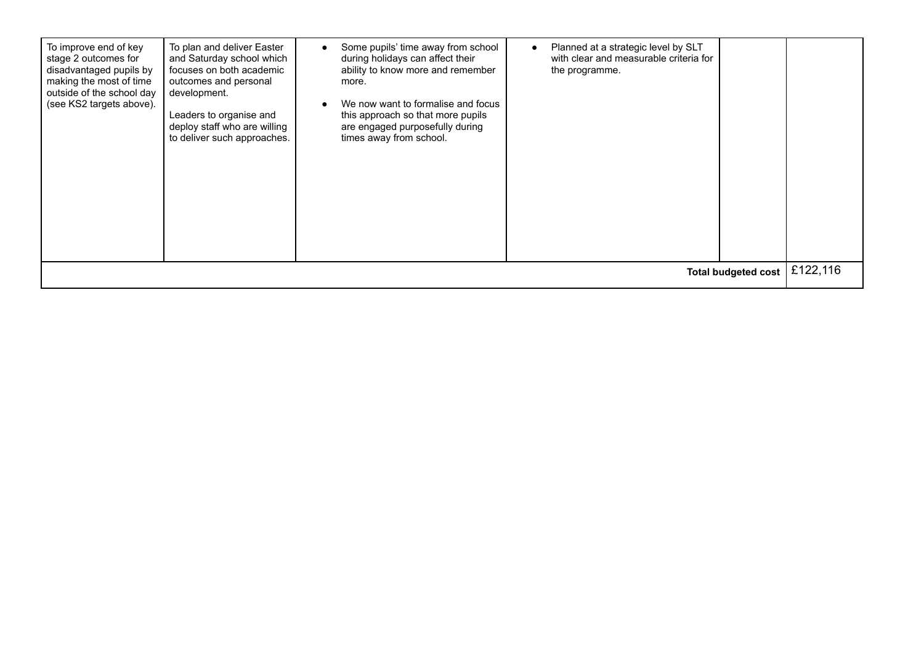| To plan and deliver Easter<br>To improve end of key<br>stage 2 outcomes for<br>and Saturday school which<br>focuses on both academic<br>disadvantaged pupils by<br>making the most of time<br>outcomes and personal<br>outside of the school day<br>development.<br>(see KS2 targets above).<br>Leaders to organise and<br>deploy staff who are willing<br>to deliver such approaches. | during holidays can affect their<br>ability to know more and remember<br>more.<br>We now want to formalise and focus<br>this approach so that more pupils<br>are engaged purposefully during<br>times away from school. | with clear and measurable criteria for<br>the programme. |  | £122,116 |  |
|----------------------------------------------------------------------------------------------------------------------------------------------------------------------------------------------------------------------------------------------------------------------------------------------------------------------------------------------------------------------------------------|-------------------------------------------------------------------------------------------------------------------------------------------------------------------------------------------------------------------------|----------------------------------------------------------|--|----------|--|
| <b>Total budgeted cost</b>                                                                                                                                                                                                                                                                                                                                                             |                                                                                                                                                                                                                         |                                                          |  |          |  |